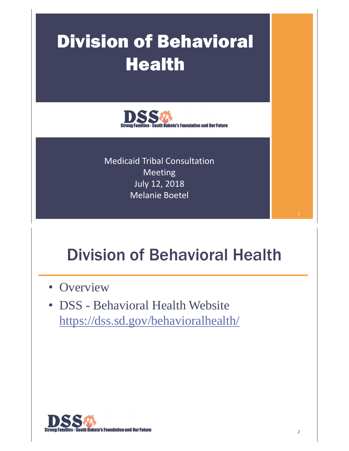# Division of Behavioral Health



Medicaid Tribal Consultation Meeting July 12, 2018 Melanie Boetel

# Division of Behavioral Health

- Overview
- DSS Behavioral Health Website https://dss.sd.gov/behavioralhealth/

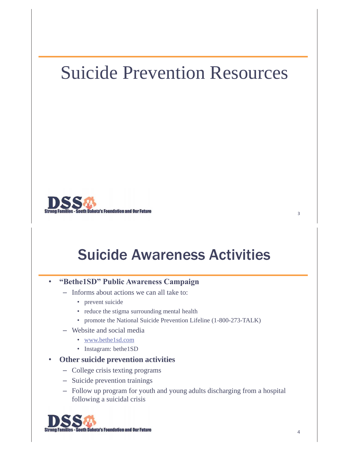## Suicide Prevention Resources



### Suicide Awareness Activities

#### •**"Bethe1SD" Public Awareness Campaign**

- Informs about actions we can all take to:
	- prevent suicide
	- reduce the stigma surrounding mental health
	- promote the National Suicide Prevention Lifeline (1-800-273-TALK)
- Website and social media
	- www.bethe1sd.com
	- Instagram: bethe1SD
- • **Other suicide prevention activities** 
	- College crisis texting programs
	- Suicide prevention trainings
	- Follow up program for youth and young adults discharging from a hospital following a suicidal crisis

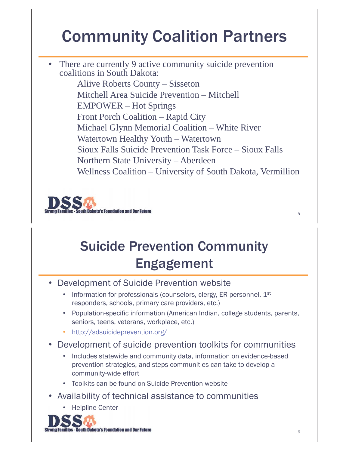# Community Coalition Partners

• There are currently 9 active community suicide prevention coalitions in South Dakota: Aliive Roberts County – Sisseton Mitchell Area Suicide Prevention – Mitchell EMPOWER – Hot Springs Front Porch Coalition – Rapid City Michael Glynn Memorial Coalition – White River Watertown Healthy Youth – Watertown Sioux Falls Suicide Prevention Task Force – Sioux Falls Northern State University – Aberdeen Wellness Coalition – University of South Dakota, Vermillion



### Suicide Prevention Community Engagement

- Development of Suicide Prevention website
	- Information for professionals (counselors, clergy, ER personnel,  $1<sup>st</sup>$ responders, schools, primary care providers, etc.)
	- Population-specific information (American Indian, college students, parents, seniors, teens, veterans, workplace, etc.)
	- http://sdsuicideprevention.org/
- • Development of suicide prevention toolkits for communities
	- Includes statewide and community data, information on evidence-based prevention strategies, and steps communities can take to develop a community-wide effort
	- Toolkits can be found on Suicide Prevention website
- Availability of technical assistance to communities
	- Helpline Center

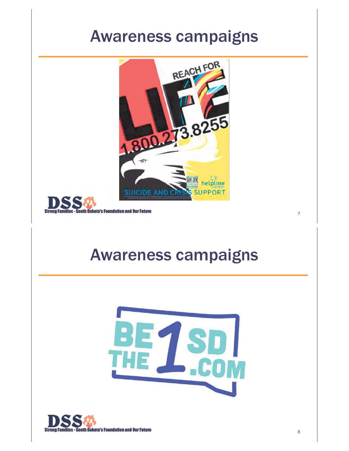### Awareness campaigns





### Awareness campaigns



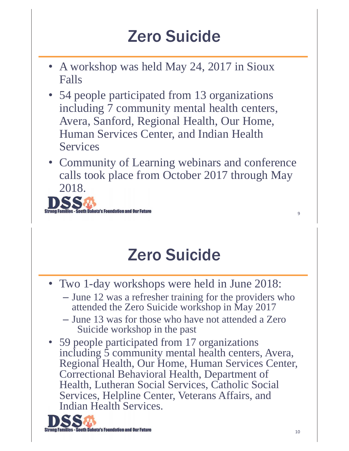# Zero Suicide

- A workshop was held May 24, 2017 in Sioux Falls
- 54 people participated from 13 organizations including 7 community mental health centers, Avera, Sanford, Regional Health, Our Home, Human Services Center, and Indian Health Services
- Community of Learning webinars and conference calls took place from October 2017 through May 2018.



# Zero Suicide

- Two 1-day workshops were held in June 2018:
	- June 12 was a refresher training for the providers who attended the Zero Suicide workshop in May 2017
	- June 13 was for those who have not attended a Zero Suicide workshop in the past
- 59 people participated from 17 organizations including 5 community mental health centers, Avera, Regional Health, Our Home, Human Services Center, Correctional Behavioral Health, Department of Health, Lutheran Social Services, Catholic Social Services, Helpline Center, Veterans Affairs, and Indian Health Services.

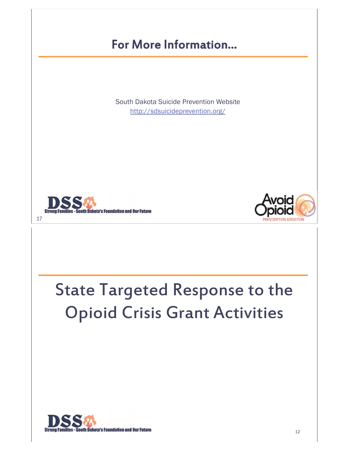#### For More Information…

South Dakota Suicide Prevention Website http://sdsuicideprevention.org/





# State Targeted Response to the Opioid Crisis Grant Activities

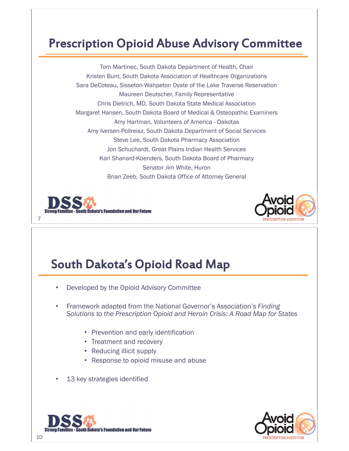#### Prescription Opioid Abuse Advisory Committee

Tom Martinec, South Dakota Department of Health, Chair Kristen Bunt, South Dakota Association of Healthcare Organizations Sara DeCoteau, Sisseton-Wahpeton Oyate of the Lake Traverse Reservation Maureen Deutscher, Family Representative Chris Dietrich, MD, South Dakota State Medical Association Margaret Hansen, South Dakota Board of Medical & Osteopathic Examiners Amy Hartman, Volunteers of America - Dakotas Amy Iversen-Pollreisz, South Dakota Department of Social Services Steve Lee, South Dakota Pharmacy Association Jon Schuchardt, Great Plains Indian Health Services Kari Shanard-Koenders, South Dakota Board of Pharmacy Senator Jim White, Huron Brian Zeeb, South Dakota Office of Attorney General





#### South Dakota's Opioid Road Map

- •Developed by the Opioid Advisory Committee
- • Framework adapted from the National Governor's Association's *Finding Solutions to the Prescription Opioid and Heroin Crisis: A Road Map for States* 
	- Prevention and early identification
	- Treatment and recovery
	- Reducing illicit supply
	- Response to opioid misuse and abuse
- •13 key strategies identified



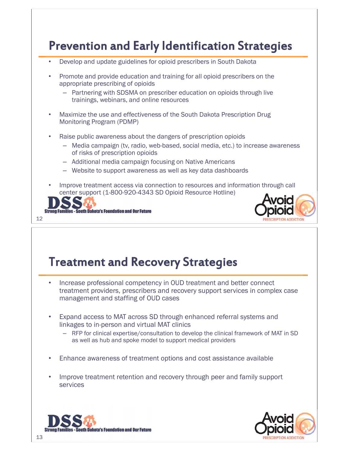#### Prevention and Early Identification Strategies

- •Develop and update guidelines for opioid prescribers in South Dakota
- • Promote and provide education and training for all opioid prescribers on the appropriate prescribing of opioids
	- Partnering with SDSMA on prescriber education on opioids through live trainings, webinars, and online resources
- • Maximize the use and effectiveness of the South Dakota Prescription Drug Monitoring Program (PDMP)
- • Raise public awareness about the dangers of prescription opioids
	- Media campaign (tv, radio, web-based, social media, etc.) to increase awareness of risks of prescription opioids
	- Additional media campaign focusing on Native Americans
	- Website to support awareness as well as key data dashboards
- • Improve treatment access via connection to resources and information through call center support (1-800-920-4343 SD Opioid Resource Hotline)





#### Treatment and Recovery Strategies

- • Increase professional competency in OUD treatment and better connect treatment providers, prescribers and recovery support services in complex case management and staffing of OUD cases
- • Expand access to MAT across SD through enhanced referral systems and linkages to in-person and virtual MAT clinics
	- RFP for clinical expertise/consultation to develop the clinical framework of MAT in SD as well as hub and spoke model to support medical providers
- •Enhance awareness of treatment options and cost assistance available
- • Improve treatment retention and recovery through peer and family support services



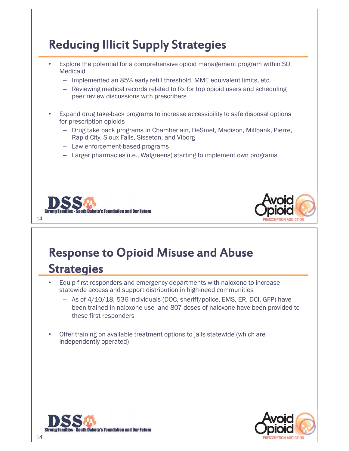#### Reducing Illicit Supply Strategies

- • Explore the potential for a comprehensive opioid management program within SD Medicaid
	- Implemented an 85% early refill threshold, MME equivalent limits, etc.
	- Reviewing medical records related to Rx for top opioid users and scheduling peer review discussions with prescribers
- • Expand drug take-back programs to increase accessibility to safe disposal options for prescription opioids
	- Drug take back programs in Chamberlain, DeSmet, Madison, Millbank, Pierre, Rapid City, Sioux Falls, Sisseton, and Viborg
	- Law enforcement-based programs
	- Larger pharmacies (i.e., Walgreens) starting to implement own programs





### Response to Opioid Misuse and Abuse **Strategies**

- • Equip first responders and emergency departments with naloxone to increase statewide access and support distribution in high-need communities
	- As of 4/10/18, 536 individuals (DOC, sheriff/police, EMS, ER, DCI, GFP) have been trained in naloxone use and 807 doses of naloxone have been provided to these first responders
- • Offer training on available treatment options to jails statewide (which are independently operated)



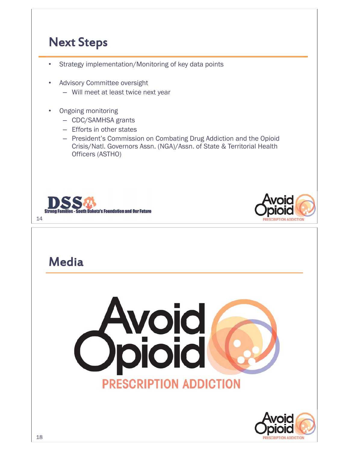#### Next Steps

- •Strategy implementation/Monitoring of key data points
- • Advisory Committee oversight
	- Will meet at least twice next year
- • Ongoing monitoring
	- CDC/SAMHSA grants
	- Efforts in other states
	- President's Commission on Combating Drug Addiction and the Opioid Crisis/Natl. Governors Assn. (NGA)/Assn. of State & Territorial Health Officers (ASTHO)





#### **Media**



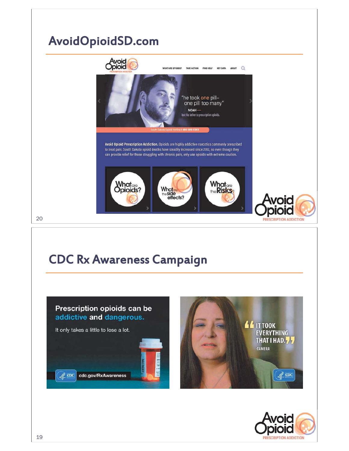### AvoidOpioidSD.com



**PRESCRIPTION ADDICTION** 

### 20

#### CDC Rx Awareness Campaign